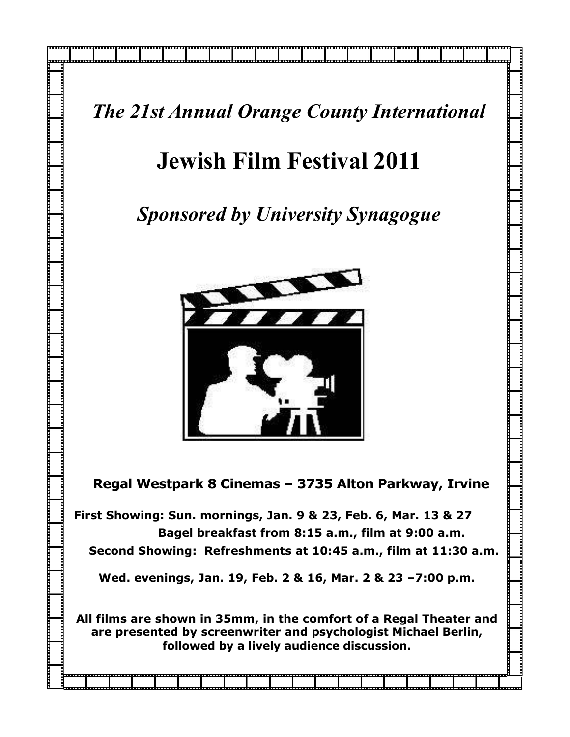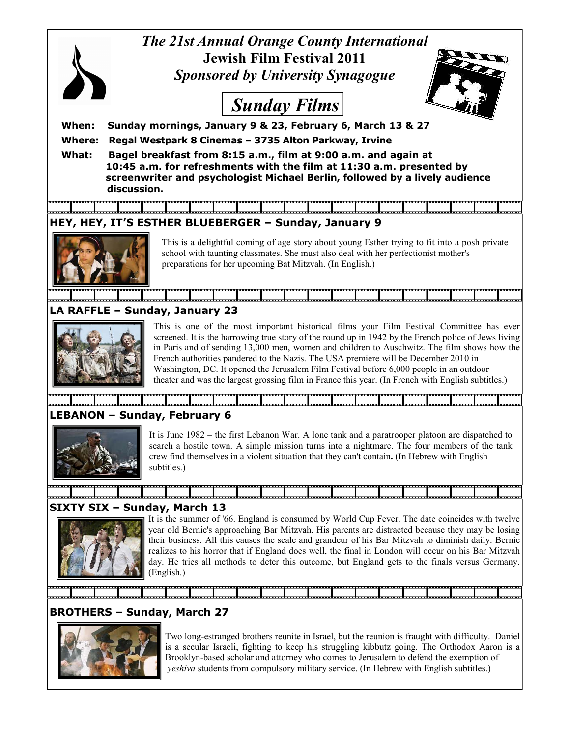## *The 21st Annual Orange County International*  **Jewish Film Festival 2011**  *Sponsored by University Synagogue Sunday Films*  **When: Sunday mornings, January 9 & 23, February 6, March 13 & 27 Where: Regal Westpark 8 Cinemas – 3735 Alton Parkway, Irvine What: Bagel breakfast from 8:15 a.m., film at 9:00 a.m. and again at 10:45 a.m. for refreshments with the film at 11:30 a.m. presented by screenwriter and psychologist Michael Berlin, followed by a lively audience**

 **discussion.** 

#### **HEY, HEY, IT'S ESTHER BLUEBERGER – Sunday, January 9**



This is a delightful coming of age story about young Esther trying to fit into a posh private school with taunting classmates. She must also deal with her perfectionist mother's preparations for her upcoming Bat Mitzvah. (In English.)

### **LA RAFFLE – Sunday, January 23**



This is one of the most important historical films your Film Festival Committee has ever screened. It is the harrowing true story of the round up in 1942 by the French police of Jews living in Paris and of sending 13,000 men, women and children to Auschwitz. The film shows how the French authorities pandered to the Nazis. The USA premiere will be December 2010 in Washington, DC. It opened the Jerusalem Film Festival before 6,000 people in an outdoor theater and was the largest grossing film in France this year. (In French with English subtitles.)

سيبيلسين **LEBANON – Sunday, February 6**



It is June 1982 – the first Lebanon War. A lone tank and a paratrooper platoon are dispatched to search a hostile town. A simple mission turns into a nightmare. The four members of the tank crew find themselves in a violent situation that they can't contain**.** (In Hebrew with English subtitles.)

**SIXTY SIX – Sunday, March 13** 



It is the summer of '66. England is consumed by World Cup Fever. The date coincides with twelve year old Bernie's approaching Bar Mitzvah. His parents are distracted because they may be losing their business. All this causes the scale and grandeur of his Bar Mitzvah to diminish daily. Bernie realizes to his horror that if England does well, the final in London will occur on his Bar Mitzvah day. He tries all methods to deter this outcome, but England gets to the finals versus Germany. (English.)

#### **BROTHERS – Sunday, March 27**



Two long-estranged brothers reunite in Israel, but the reunion is fraught with difficulty. Daniel is a secular Israeli, fighting to keep his struggling kibbutz going. The Orthodox Aaron is a Brooklyn-based scholar and attorney who comes to Jerusalem to defend the exemption of *yeshiva* students from compulsory military service. (In Hebrew with English subtitles.)